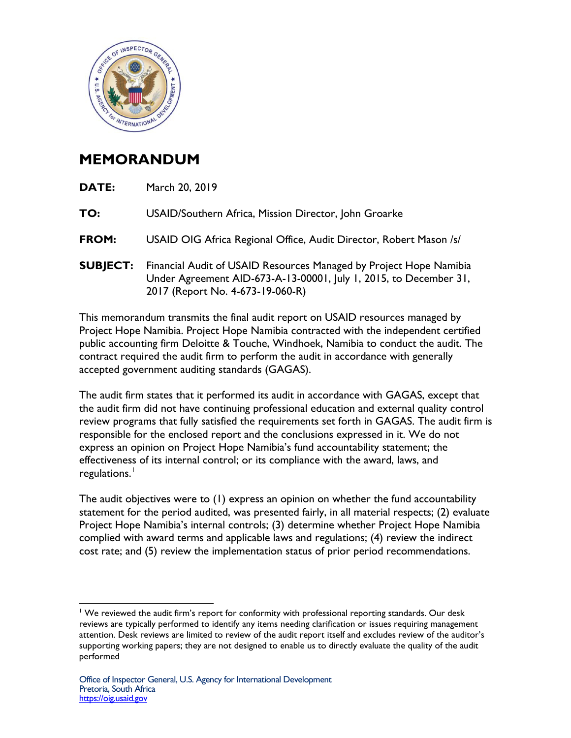

## **MEMORANDUM**

| DATE:           | March 20, 2019                                                                                                                                                              |
|-----------------|-----------------------------------------------------------------------------------------------------------------------------------------------------------------------------|
| TO:             | USAID/Southern Africa, Mission Director, John Groarke                                                                                                                       |
| <b>FROM:</b>    | USAID OIG Africa Regional Office, Audit Director, Robert Mason /s/                                                                                                          |
| <b>SUBJECT:</b> | Financial Audit of USAID Resources Managed by Project Hope Namibia<br>Under Agreement AID-673-A-13-00001, July 1, 2015, to December 31,<br>2017 (Report No. 4-673-19-060-R) |

This memorandum transmits the final audit report on USAID resources managed by Project Hope Namibia. Project Hope Namibia contracted with the independent certified public accounting firm Deloitte & Touche, Windhoek, Namibia to conduct the audit. The contract required the audit firm to perform the audit in accordance with generally accepted government auditing standards (GAGAS).

The audit firm states that it performed its audit in accordance with GAGAS, except that the audit firm did not have continuing professional education and external quality control review programs that fully satisfied the requirements set forth in GAGAS. The audit firm is responsible for the enclosed report and the conclusions expressed in it. We do not express an opinion on Project Hope Namibia's fund accountability statement; the effectiveness of its internal control; or its compliance with the award, laws, and regulations.<sup>[1](#page-0-0)</sup>

The audit objectives were to (1) express an opinion on whether the fund accountability statement for the period audited, was presented fairly, in all material respects; (2) evaluate Project Hope Namibia's internal controls; (3) determine whether Project Hope Namibia complied with award terms and applicable laws and regulations; (4) review the indirect cost rate; and (5) review the implementation status of prior period recommendations.

<span id="page-0-0"></span> $\overline{a}$ <sup>1</sup> We reviewed the audit firm's report for conformity with professional reporting standards. Our desk reviews are typically performed to identify any items needing clarification or issues requiring management attention. Desk reviews are limited to review of the audit report itself and excludes review of the auditor's supporting working papers; they are not designed to enable us to directly evaluate the quality of the audit performed